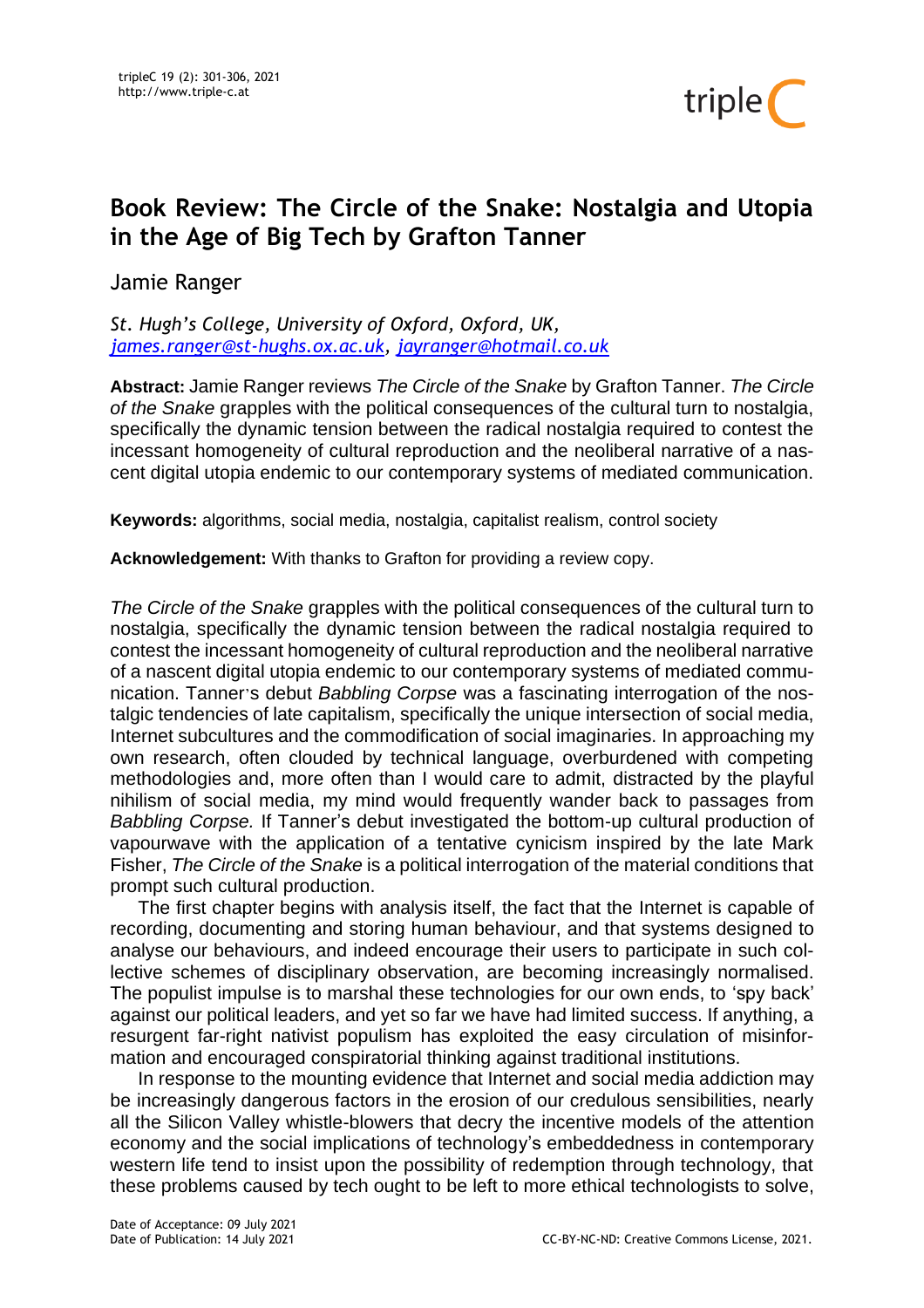

## **Book Review: The Circle of the Snake: Nostalgia and Utopia in the Age of Big Tech by Grafton Tanner**

Jamie Ranger

*St. Hugh's College, University of Oxford, Oxford, UK, [james.ranger@st-hughs.ox.ac.uk,](mailto:james.ranger@st-hughs.ox.ac.uk) [jayranger@hotmail.co.uk](mailto:jayranger@hotmail.co.uk)*

**Abstract:** Jamie Ranger reviews *The Circle of the Snake* by Grafton Tanner. *The Circle of the Snake* grapples with the political consequences of the cultural turn to nostalgia, specifically the dynamic tension between the radical nostalgia required to contest the incessant homogeneity of cultural reproduction and the neoliberal narrative of a nascent digital utopia endemic to our contemporary systems of mediated communication.

**Keywords:** algorithms, social media, nostalgia, capitalist realism, control society

**Acknowledgement:** With thanks to Grafton for providing a review copy.

*The Circle of the Snake* grapples with the political consequences of the cultural turn to nostalgia, specifically the dynamic tension between the radical nostalgia required to contest the incessant homogeneity of cultural reproduction and the neoliberal narrative of a nascent digital utopia endemic to our contemporary systems of mediated communication. Tanner's debut *Babbling Corpse* was a fascinating interrogation of the nostalgic tendencies of late capitalism, specifically the unique intersection of social media, Internet subcultures and the commodification of social imaginaries. In approaching my own research, often clouded by technical language, overburdened with competing methodologies and, more often than I would care to admit, distracted by the playful nihilism of social media, my mind would frequently wander back to passages from *Babbling Corpse.* If Tanner's debut investigated the bottom-up cultural production of vapourwave with the application of a tentative cynicism inspired by the late Mark Fisher, *The Circle of the Snake* is a political interrogation of the material conditions that prompt such cultural production.

The first chapter begins with analysis itself, the fact that the Internet is capable of recording, documenting and storing human behaviour, and that systems designed to analyse our behaviours, and indeed encourage their users to participate in such collective schemes of disciplinary observation, are becoming increasingly normalised. The populist impulse is to marshal these technologies for our own ends, to 'spy back' against our political leaders, and yet so far we have had limited success. If anything, a resurgent far-right nativist populism has exploited the easy circulation of misinformation and encouraged conspiratorial thinking against traditional institutions.

In response to the mounting evidence that Internet and social media addiction may be increasingly dangerous factors in the erosion of our credulous sensibilities, nearly all the Silicon Valley whistle-blowers that decry the incentive models of the attention economy and the social implications of technology's embeddedness in contemporary western life tend to insist upon the possibility of redemption through technology, that these problems caused by tech ought to be left to more ethical technologists to solve,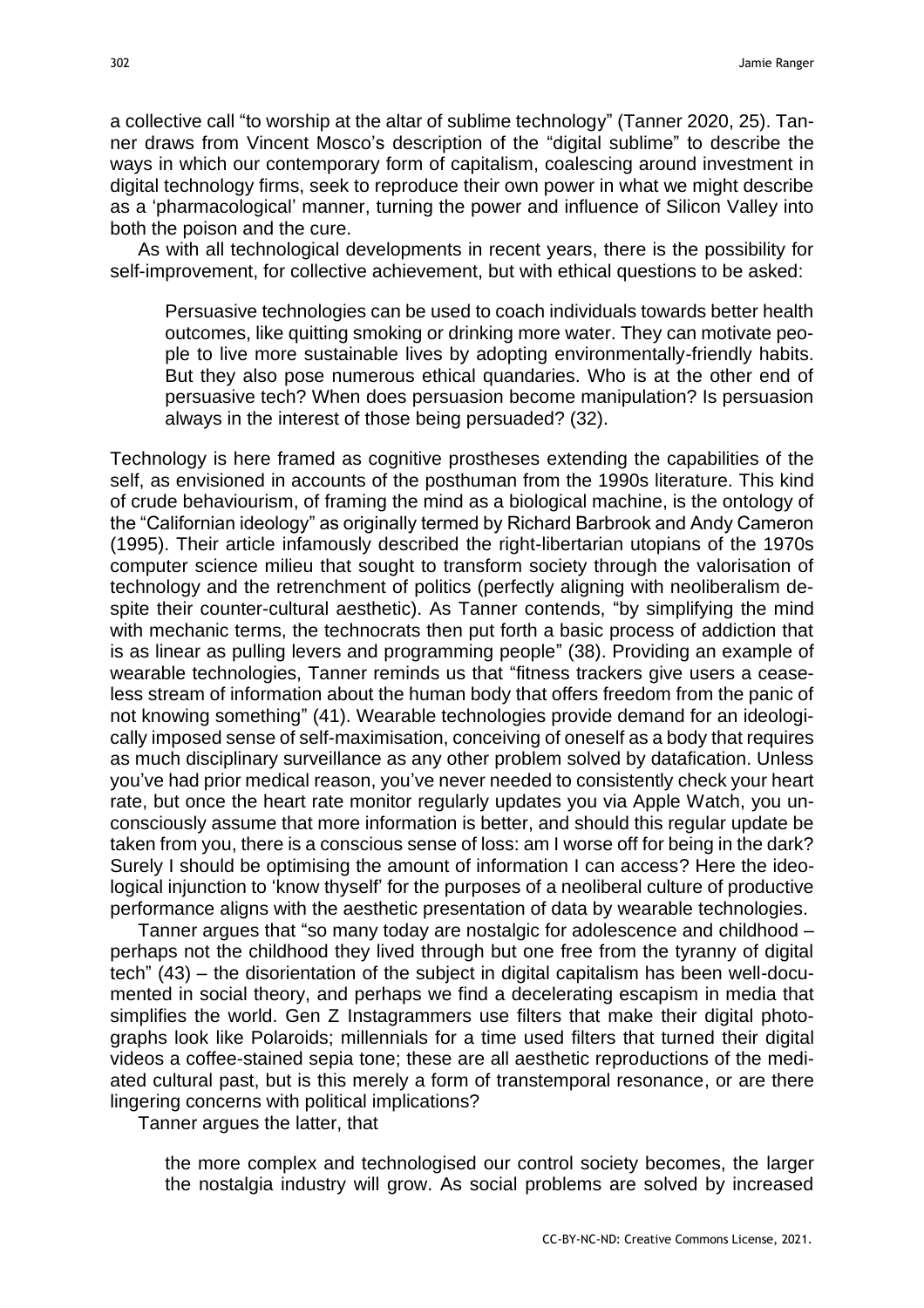a collective call "to worship at the altar of sublime technology" (Tanner 2020, 25). Tanner draws from Vincent Mosco's description of the "digital sublime" to describe the ways in which our contemporary form of capitalism, coalescing around investment in digital technology firms, seek to reproduce their own power in what we might describe as a 'pharmacological' manner, turning the power and influence of Silicon Valley into both the poison and the cure.

As with all technological developments in recent years, there is the possibility for self-improvement, for collective achievement, but with ethical questions to be asked:

Persuasive technologies can be used to coach individuals towards better health outcomes, like quitting smoking or drinking more water. They can motivate people to live more sustainable lives by adopting environmentally-friendly habits. But they also pose numerous ethical quandaries. Who is at the other end of persuasive tech? When does persuasion become manipulation? Is persuasion always in the interest of those being persuaded? (32).

Technology is here framed as cognitive prostheses extending the capabilities of the self, as envisioned in accounts of the posthuman from the 1990s literature. This kind of crude behaviourism, of framing the mind as a biological machine, is the ontology of the "Californian ideology" as originally termed by Richard Barbrook and Andy Cameron (1995). Their article infamously described the right-libertarian utopians of the 1970s computer science milieu that sought to transform society through the valorisation of technology and the retrenchment of politics (perfectly aligning with neoliberalism despite their counter-cultural aesthetic). As Tanner contends, "by simplifying the mind with mechanic terms, the technocrats then put forth a basic process of addiction that is as linear as pulling levers and programming people" (38). Providing an example of wearable technologies, Tanner reminds us that "fitness trackers give users a ceaseless stream of information about the human body that offers freedom from the panic of not knowing something" (41). Wearable technologies provide demand for an ideologically imposed sense of self-maximisation, conceiving of oneself as a body that requires as much disciplinary surveillance as any other problem solved by datafication. Unless you've had prior medical reason, you've never needed to consistently check your heart rate, but once the heart rate monitor regularly updates you via Apple Watch, you unconsciously assume that more information is better, and should this regular update be taken from you, there is a conscious sense of loss: am I worse off for being in the dark? Surely I should be optimising the amount of information I can access? Here the ideological injunction to 'know thyself' for the purposes of a neoliberal culture of productive performance aligns with the aesthetic presentation of data by wearable technologies.

Tanner argues that "so many today are nostalgic for adolescence and childhood – perhaps not the childhood they lived through but one free from the tyranny of digital tech" (43) – the disorientation of the subject in digital capitalism has been well-documented in social theory, and perhaps we find a decelerating escapism in media that simplifies the world. Gen Z Instagrammers use filters that make their digital photographs look like Polaroids; millennials for a time used filters that turned their digital videos a coffee-stained sepia tone; these are all aesthetic reproductions of the mediated cultural past, but is this merely a form of transtemporal resonance, or are there lingering concerns with political implications?

Tanner argues the latter, that

the more complex and technologised our control society becomes, the larger the nostalgia industry will grow. As social problems are solved by increased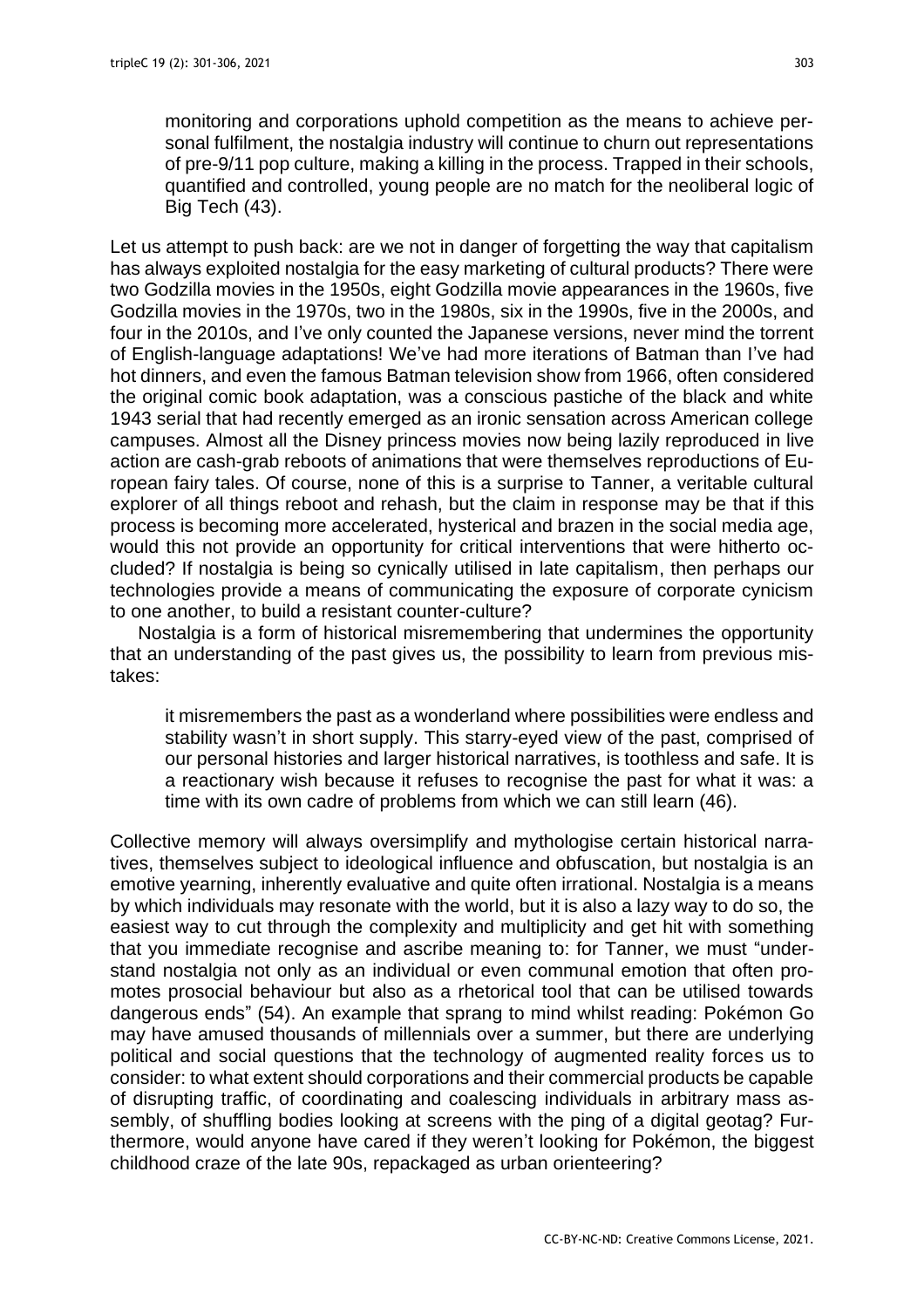monitoring and corporations uphold competition as the means to achieve personal fulfilment, the nostalgia industry will continue to churn out representations of pre-9/11 pop culture, making a killing in the process. Trapped in their schools, quantified and controlled, young people are no match for the neoliberal logic of Big Tech (43).

Let us attempt to push back: are we not in danger of forgetting the way that capitalism has always exploited nostalgia for the easy marketing of cultural products? There were two Godzilla movies in the 1950s, eight Godzilla movie appearances in the 1960s, five Godzilla movies in the 1970s, two in the 1980s, six in the 1990s, five in the 2000s, and four in the 2010s, and I've only counted the Japanese versions, never mind the torrent of English-language adaptations! We've had more iterations of Batman than I've had hot dinners, and even the famous Batman television show from 1966, often considered the original comic book adaptation, was a conscious pastiche of the black and white 1943 serial that had recently emerged as an ironic sensation across American college campuses. Almost all the Disney princess movies now being lazily reproduced in live action are cash-grab reboots of animations that were themselves reproductions of European fairy tales. Of course, none of this is a surprise to Tanner, a veritable cultural explorer of all things reboot and rehash, but the claim in response may be that if this process is becoming more accelerated, hysterical and brazen in the social media age, would this not provide an opportunity for critical interventions that were hitherto occluded? If nostalgia is being so cynically utilised in late capitalism, then perhaps our technologies provide a means of communicating the exposure of corporate cynicism to one another, to build a resistant counter-culture?

Nostalgia is a form of historical misremembering that undermines the opportunity that an understanding of the past gives us, the possibility to learn from previous mistakes:

it misremembers the past as a wonderland where possibilities were endless and stability wasn't in short supply. This starry-eyed view of the past, comprised of our personal histories and larger historical narratives, is toothless and safe. It is a reactionary wish because it refuses to recognise the past for what it was: a time with its own cadre of problems from which we can still learn (46).

Collective memory will always oversimplify and mythologise certain historical narratives, themselves subject to ideological influence and obfuscation, but nostalgia is an emotive yearning, inherently evaluative and quite often irrational. Nostalgia is a means by which individuals may resonate with the world, but it is also a lazy way to do so, the easiest way to cut through the complexity and multiplicity and get hit with something that you immediate recognise and ascribe meaning to: for Tanner, we must "understand nostalgia not only as an individual or even communal emotion that often promotes prosocial behaviour but also as a rhetorical tool that can be utilised towards dangerous ends" (54). An example that sprang to mind whilst reading: Pokémon Go may have amused thousands of millennials over a summer, but there are underlying political and social questions that the technology of augmented reality forces us to consider: to what extent should corporations and their commercial products be capable of disrupting traffic, of coordinating and coalescing individuals in arbitrary mass assembly, of shuffling bodies looking at screens with the ping of a digital geotag? Furthermore, would anyone have cared if they weren't looking for Pokémon, the biggest childhood craze of the late 90s, repackaged as urban orienteering?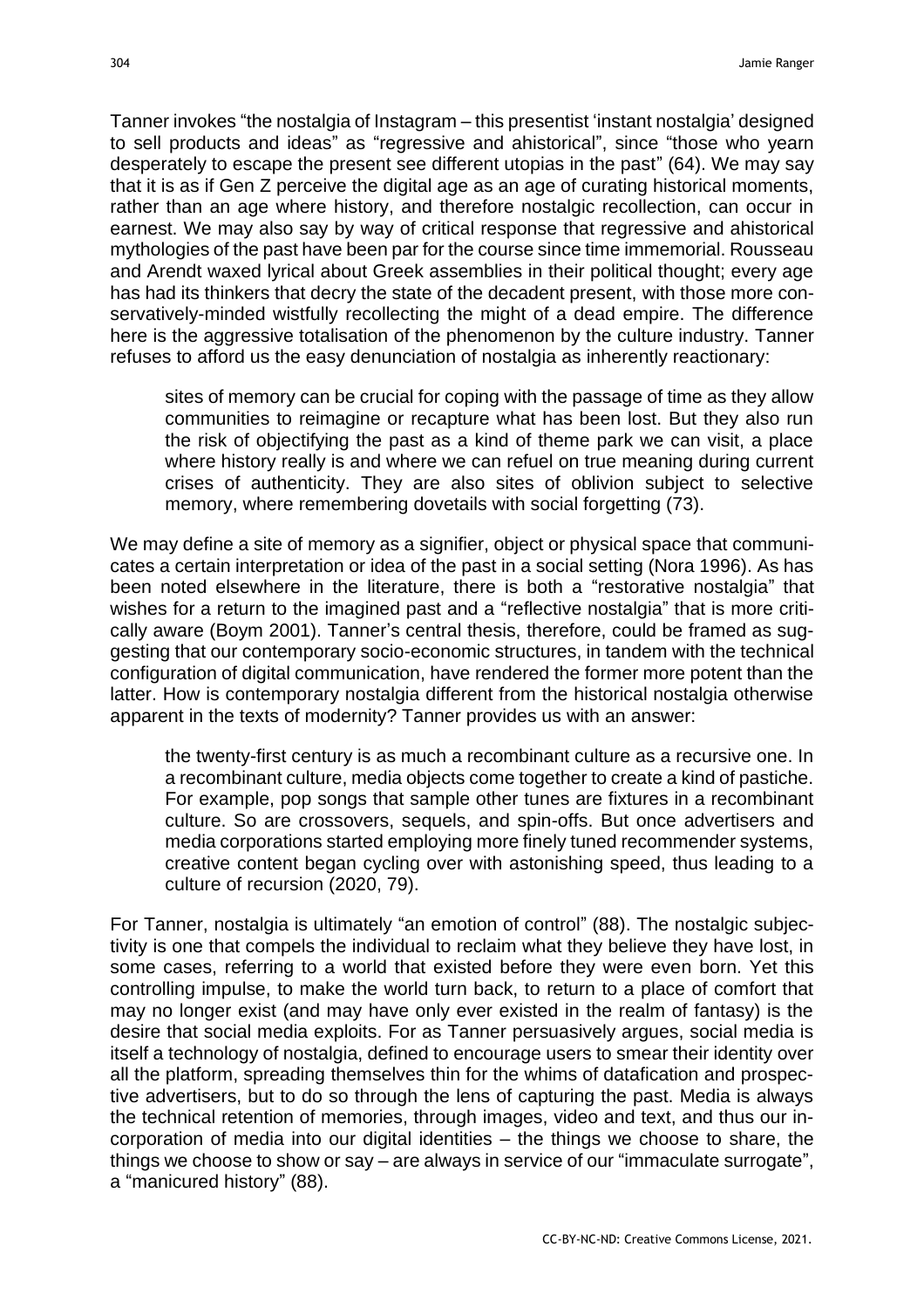Tanner invokes "the nostalgia of Instagram – this presentist 'instant nostalgia' designed to sell products and ideas" as "regressive and ahistorical", since "those who yearn desperately to escape the present see different utopias in the past" (64). We may say that it is as if Gen Z perceive the digital age as an age of curating historical moments, rather than an age where history, and therefore nostalgic recollection, can occur in earnest. We may also say by way of critical response that regressive and ahistorical mythologies of the past have been par for the course since time immemorial. Rousseau and Arendt waxed lyrical about Greek assemblies in their political thought; every age has had its thinkers that decry the state of the decadent present, with those more conservatively-minded wistfully recollecting the might of a dead empire. The difference here is the aggressive totalisation of the phenomenon by the culture industry. Tanner refuses to afford us the easy denunciation of nostalgia as inherently reactionary:

sites of memory can be crucial for coping with the passage of time as they allow communities to reimagine or recapture what has been lost. But they also run the risk of objectifying the past as a kind of theme park we can visit, a place where history really is and where we can refuel on true meaning during current crises of authenticity. They are also sites of oblivion subject to selective memory, where remembering dovetails with social forgetting (73).

We may define a site of memory as a signifier, object or physical space that communicates a certain interpretation or idea of the past in a social setting (Nora 1996). As has been noted elsewhere in the literature, there is both a "restorative nostalgia" that wishes for a return to the imagined past and a "reflective nostalgia" that is more critically aware (Boym 2001). Tanner's central thesis, therefore, could be framed as suggesting that our contemporary socio-economic structures, in tandem with the technical configuration of digital communication, have rendered the former more potent than the latter. How is contemporary nostalgia different from the historical nostalgia otherwise apparent in the texts of modernity? Tanner provides us with an answer:

the twenty-first century is as much a recombinant culture as a recursive one. In a recombinant culture, media objects come together to create a kind of pastiche. For example, pop songs that sample other tunes are fixtures in a recombinant culture. So are crossovers, sequels, and spin-offs. But once advertisers and media corporations started employing more finely tuned recommender systems, creative content began cycling over with astonishing speed, thus leading to a culture of recursion (2020, 79).

For Tanner, nostalgia is ultimately "an emotion of control" (88). The nostalgic subjectivity is one that compels the individual to reclaim what they believe they have lost, in some cases, referring to a world that existed before they were even born. Yet this controlling impulse, to make the world turn back, to return to a place of comfort that may no longer exist (and may have only ever existed in the realm of fantasy) is the desire that social media exploits. For as Tanner persuasively argues, social media is itself a technology of nostalgia, defined to encourage users to smear their identity over all the platform, spreading themselves thin for the whims of datafication and prospective advertisers, but to do so through the lens of capturing the past. Media is always the technical retention of memories, through images, video and text, and thus our incorporation of media into our digital identities – the things we choose to share, the things we choose to show or say – are always in service of our "immaculate surrogate", a "manicured history" (88).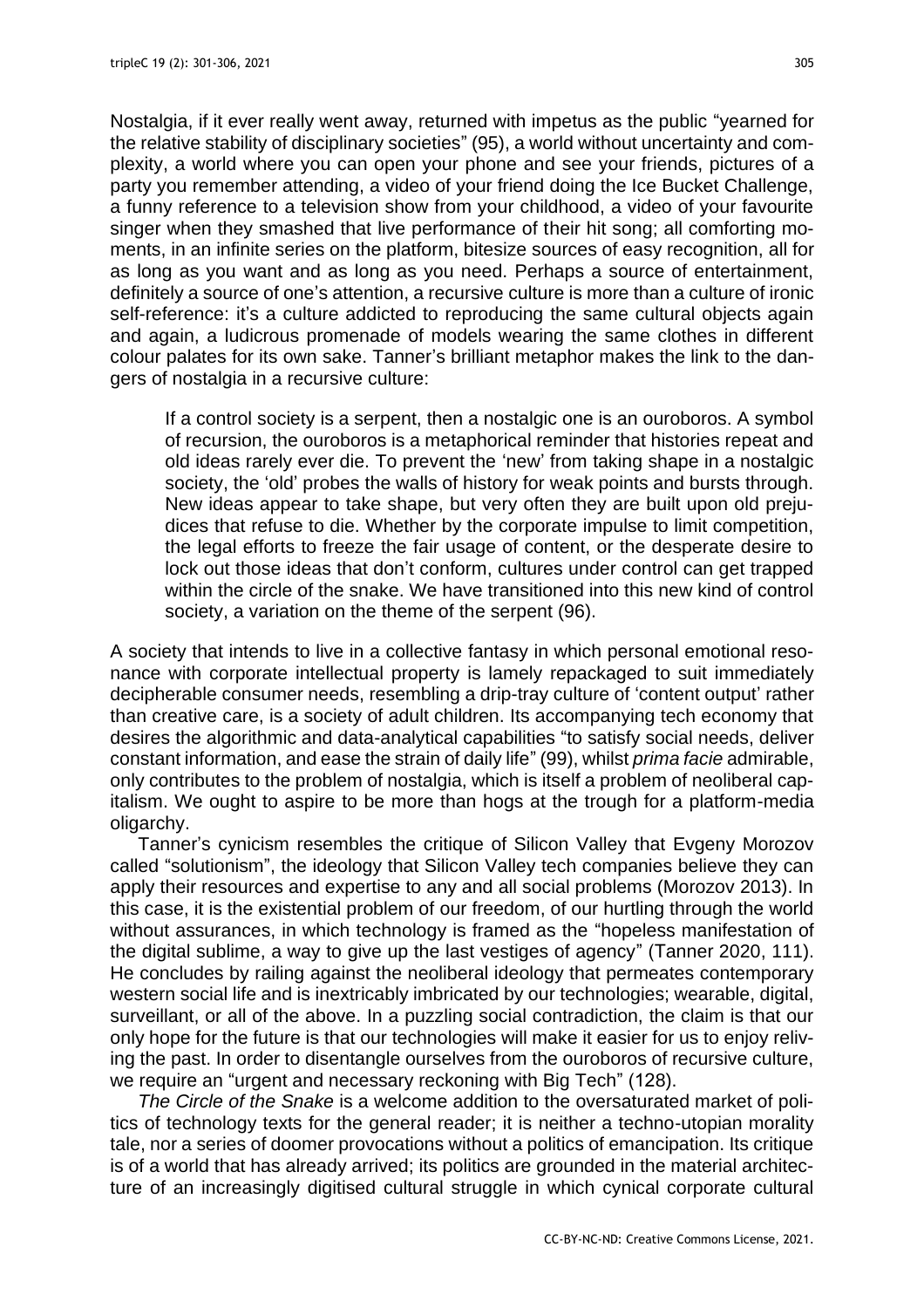Nostalgia, if it ever really went away, returned with impetus as the public "yearned for the relative stability of disciplinary societies" (95), a world without uncertainty and complexity, a world where you can open your phone and see your friends, pictures of a party you remember attending, a video of your friend doing the Ice Bucket Challenge, a funny reference to a television show from your childhood, a video of your favourite singer when they smashed that live performance of their hit song; all comforting moments, in an infinite series on the platform, bitesize sources of easy recognition, all for as long as you want and as long as you need. Perhaps a source of entertainment, definitely a source of one's attention, a recursive culture is more than a culture of ironic self-reference: it's a culture addicted to reproducing the same cultural objects again and again, a ludicrous promenade of models wearing the same clothes in different colour palates for its own sake. Tanner's brilliant metaphor makes the link to the dangers of nostalgia in a recursive culture:

If a control society is a serpent, then a nostalgic one is an ouroboros. A symbol of recursion, the ouroboros is a metaphorical reminder that histories repeat and old ideas rarely ever die. To prevent the 'new' from taking shape in a nostalgic society, the 'old' probes the walls of history for weak points and bursts through. New ideas appear to take shape, but very often they are built upon old prejudices that refuse to die. Whether by the corporate impulse to limit competition, the legal efforts to freeze the fair usage of content, or the desperate desire to lock out those ideas that don't conform, cultures under control can get trapped within the circle of the snake. We have transitioned into this new kind of control society, a variation on the theme of the serpent (96).

A society that intends to live in a collective fantasy in which personal emotional resonance with corporate intellectual property is lamely repackaged to suit immediately decipherable consumer needs, resembling a drip-tray culture of 'content output' rather than creative care, is a society of adult children. Its accompanying tech economy that desires the algorithmic and data-analytical capabilities "to satisfy social needs, deliver constant information, and ease the strain of daily life" (99), whilst *prima facie* admirable, only contributes to the problem of nostalgia, which is itself a problem of neoliberal capitalism. We ought to aspire to be more than hogs at the trough for a platform-media oligarchy.

Tanner's cynicism resembles the critique of Silicon Valley that Evgeny Morozov called "solutionism", the ideology that Silicon Valley tech companies believe they can apply their resources and expertise to any and all social problems (Morozov 2013). In this case, it is the existential problem of our freedom, of our hurtling through the world without assurances, in which technology is framed as the "hopeless manifestation of the digital sublime, a way to give up the last vestiges of agency" (Tanner 2020, 111). He concludes by railing against the neoliberal ideology that permeates contemporary western social life and is inextricably imbricated by our technologies; wearable, digital, surveillant, or all of the above. In a puzzling social contradiction, the claim is that our only hope for the future is that our technologies will make it easier for us to enjoy reliving the past. In order to disentangle ourselves from the ouroboros of recursive culture, we require an "urgent and necessary reckoning with Big Tech" (128).

*The Circle of the Snake* is a welcome addition to the oversaturated market of politics of technology texts for the general reader; it is neither a techno-utopian morality tale, nor a series of doomer provocations without a politics of emancipation. Its critique is of a world that has already arrived; its politics are grounded in the material architecture of an increasingly digitised cultural struggle in which cynical corporate cultural